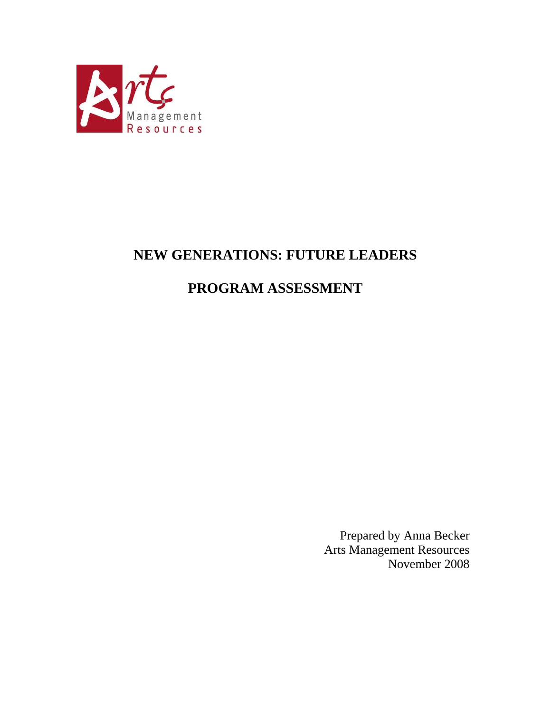

# **NEW GENERATIONS: FUTURE LEADERS**

# **PROGRAM ASSESSMENT**

Prepared by Anna Becker Arts Management Resources November 2008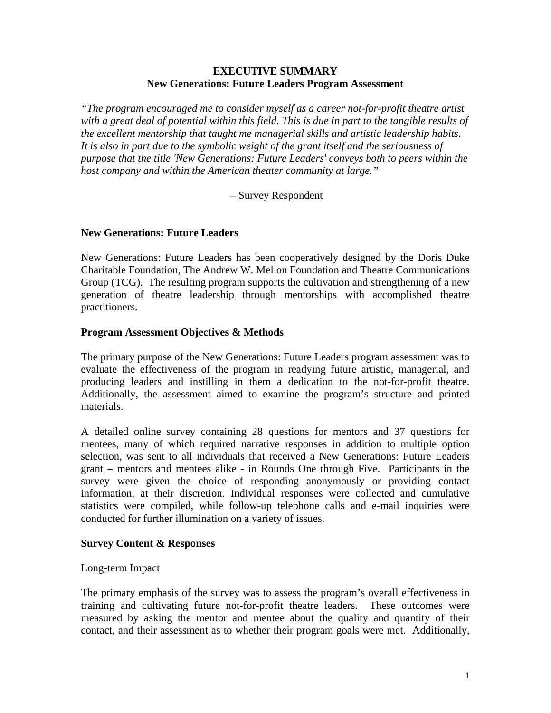### **EXECUTIVE SUMMARY New Generations: Future Leaders Program Assessment**

*"The program encouraged me to consider myself as a career not-for-profit theatre artist with a great deal of potential within this field. This is due in part to the tangible results of the excellent mentorship that taught me managerial skills and artistic leadership habits. It is also in part due to the symbolic weight of the grant itself and the seriousness of purpose that the title 'New Generations: Future Leaders' conveys both to peers within the host company and within the American theater community at large."* 

– Survey Respondent

### **New Generations: Future Leaders**

New Generations: Future Leaders has been cooperatively designed by the Doris Duke Charitable Foundation, The Andrew W. Mellon Foundation and Theatre Communications Group (TCG). The resulting program supports the cultivation and strengthening of a new generation of theatre leadership through mentorships with accomplished theatre practitioners.

#### **Program Assessment Objectives & Methods**

The primary purpose of the New Generations: Future Leaders program assessment was to evaluate the effectiveness of the program in readying future artistic, managerial, and producing leaders and instilling in them a dedication to the not-for-profit theatre. Additionally, the assessment aimed to examine the program's structure and printed materials.

A detailed online survey containing 28 questions for mentors and 37 questions for mentees, many of which required narrative responses in addition to multiple option selection, was sent to all individuals that received a New Generations: Future Leaders grant – mentors and mentees alike - in Rounds One through Five. Participants in the survey were given the choice of responding anonymously or providing contact information, at their discretion. Individual responses were collected and cumulative statistics were compiled, while follow-up telephone calls and e-mail inquiries were conducted for further illumination on a variety of issues.

#### **Survey Content & Responses**

#### Long-term Impact

The primary emphasis of the survey was to assess the program's overall effectiveness in training and cultivating future not-for-profit theatre leaders. These outcomes were measured by asking the mentor and mentee about the quality and quantity of their contact, and their assessment as to whether their program goals were met. Additionally,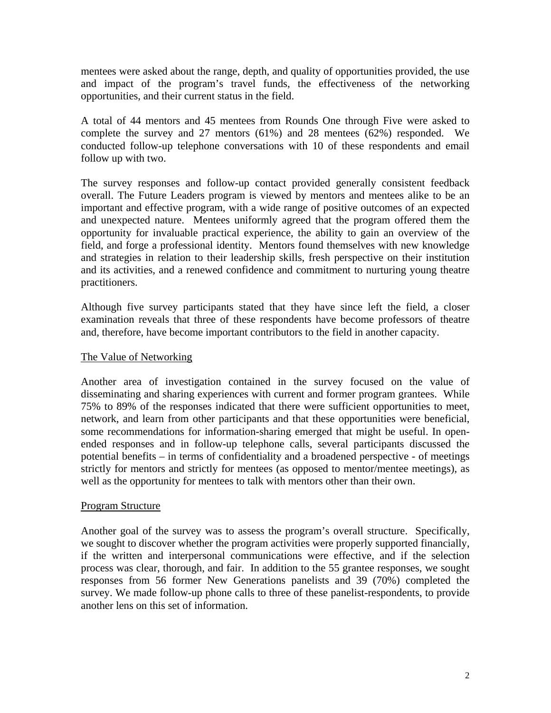mentees were asked about the range, depth, and quality of opportunities provided, the use and impact of the program's travel funds, the effectiveness of the networking opportunities, and their current status in the field.

A total of 44 mentors and 45 mentees from Rounds One through Five were asked to complete the survey and 27 mentors (61%) and 28 mentees (62%) responded. We conducted follow-up telephone conversations with 10 of these respondents and email follow up with two.

The survey responses and follow-up contact provided generally consistent feedback overall. The Future Leaders program is viewed by mentors and mentees alike to be an important and effective program, with a wide range of positive outcomes of an expected and unexpected nature. Mentees uniformly agreed that the program offered them the opportunity for invaluable practical experience, the ability to gain an overview of the field, and forge a professional identity. Mentors found themselves with new knowledge and strategies in relation to their leadership skills, fresh perspective on their institution and its activities, and a renewed confidence and commitment to nurturing young theatre practitioners.

Although five survey participants stated that they have since left the field, a closer examination reveals that three of these respondents have become professors of theatre and, therefore, have become important contributors to the field in another capacity.

### The Value of Networking

Another area of investigation contained in the survey focused on the value of disseminating and sharing experiences with current and former program grantees. While 75% to 89% of the responses indicated that there were sufficient opportunities to meet, network, and learn from other participants and that these opportunities were beneficial, some recommendations for information-sharing emerged that might be useful. In openended responses and in follow-up telephone calls, several participants discussed the potential benefits – in terms of confidentiality and a broadened perspective - of meetings strictly for mentors and strictly for mentees (as opposed to mentor/mentee meetings), as well as the opportunity for mentees to talk with mentors other than their own.

### Program Structure

Another goal of the survey was to assess the program's overall structure. Specifically, we sought to discover whether the program activities were properly supported financially, if the written and interpersonal communications were effective, and if the selection process was clear, thorough, and fair. In addition to the 55 grantee responses, we sought responses from 56 former New Generations panelists and 39 (70%) completed the survey. We made follow-up phone calls to three of these panelist-respondents, to provide another lens on this set of information.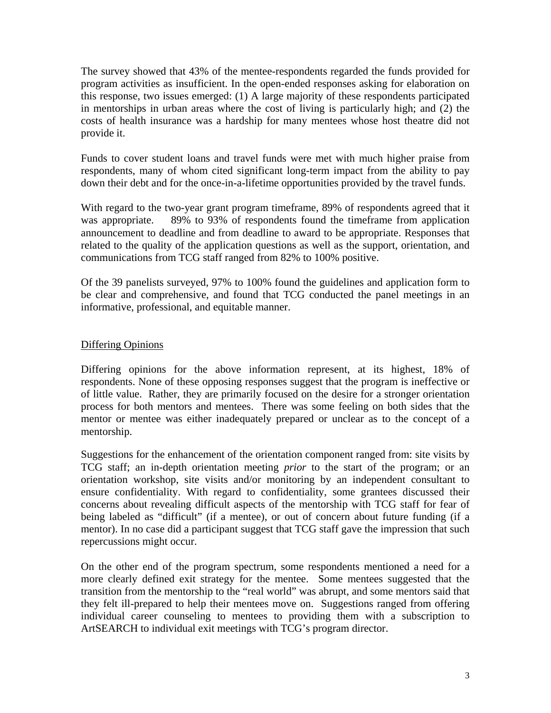The survey showed that 43% of the mentee-respondents regarded the funds provided for program activities as insufficient. In the open-ended responses asking for elaboration on this response, two issues emerged: (1) A large majority of these respondents participated in mentorships in urban areas where the cost of living is particularly high; and (2) the costs of health insurance was a hardship for many mentees whose host theatre did not provide it.

Funds to cover student loans and travel funds were met with much higher praise from respondents, many of whom cited significant long-term impact from the ability to pay down their debt and for the once-in-a-lifetime opportunities provided by the travel funds.

With regard to the two-year grant program timeframe, 89% of respondents agreed that it was appropriate. 89% to 93% of respondents found the timeframe from application announcement to deadline and from deadline to award to be appropriate. Responses that related to the quality of the application questions as well as the support, orientation, and communications from TCG staff ranged from 82% to 100% positive.

Of the 39 panelists surveyed, 97% to 100% found the guidelines and application form to be clear and comprehensive, and found that TCG conducted the panel meetings in an informative, professional, and equitable manner.

# Differing Opinions

Differing opinions for the above information represent, at its highest, 18% of respondents. None of these opposing responses suggest that the program is ineffective or of little value. Rather, they are primarily focused on the desire for a stronger orientation process for both mentors and mentees. There was some feeling on both sides that the mentor or mentee was either inadequately prepared or unclear as to the concept of a mentorship.

Suggestions for the enhancement of the orientation component ranged from: site visits by TCG staff; an in-depth orientation meeting *prior* to the start of the program; or an orientation workshop, site visits and/or monitoring by an independent consultant to ensure confidentiality. With regard to confidentiality, some grantees discussed their concerns about revealing difficult aspects of the mentorship with TCG staff for fear of being labeled as "difficult" (if a mentee), or out of concern about future funding (if a mentor). In no case did a participant suggest that TCG staff gave the impression that such repercussions might occur.

On the other end of the program spectrum, some respondents mentioned a need for a more clearly defined exit strategy for the mentee. Some mentees suggested that the transition from the mentorship to the "real world" was abrupt, and some mentors said that they felt ill-prepared to help their mentees move on. Suggestions ranged from offering individual career counseling to mentees to providing them with a subscription to ArtSEARCH to individual exit meetings with TCG's program director.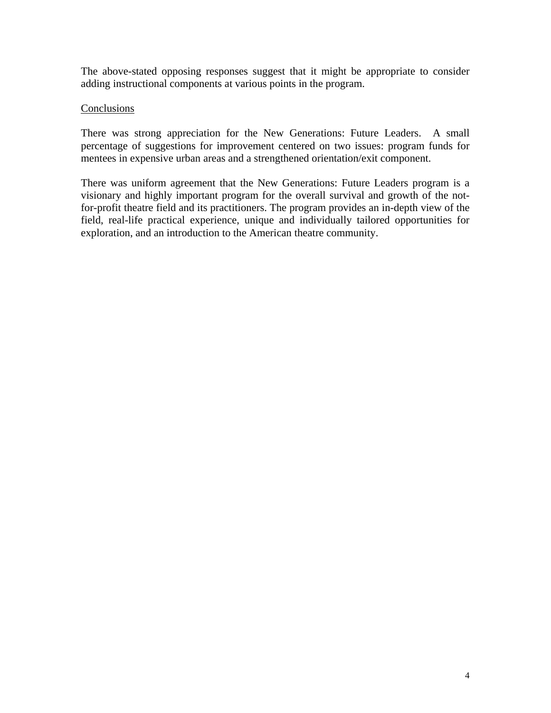The above-stated opposing responses suggest that it might be appropriate to consider adding instructional components at various points in the program.

## **Conclusions**

There was strong appreciation for the New Generations: Future Leaders. A small percentage of suggestions for improvement centered on two issues: program funds for mentees in expensive urban areas and a strengthened orientation/exit component.

There was uniform agreement that the New Generations: Future Leaders program is a visionary and highly important program for the overall survival and growth of the notfor-profit theatre field and its practitioners. The program provides an in-depth view of the field, real-life practical experience, unique and individually tailored opportunities for exploration, and an introduction to the American theatre community.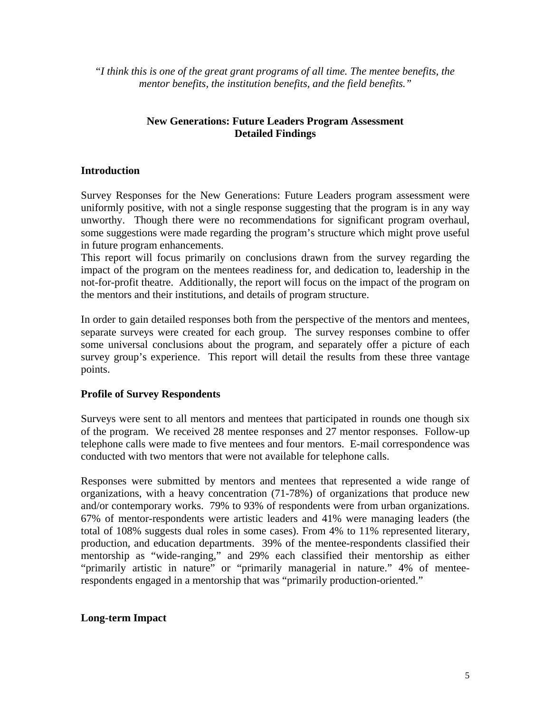"*I think this is one of the great grant programs of all time. The mentee benefits, the mentor benefits, the institution benefits, and the field benefits."* 

# **New Generations: Future Leaders Program Assessment Detailed Findings**

## **Introduction**

Survey Responses for the New Generations: Future Leaders program assessment were uniformly positive, with not a single response suggesting that the program is in any way unworthy. Though there were no recommendations for significant program overhaul, some suggestions were made regarding the program's structure which might prove useful in future program enhancements.

This report will focus primarily on conclusions drawn from the survey regarding the impact of the program on the mentees readiness for, and dedication to, leadership in the not-for-profit theatre. Additionally, the report will focus on the impact of the program on the mentors and their institutions, and details of program structure.

In order to gain detailed responses both from the perspective of the mentors and mentees, separate surveys were created for each group. The survey responses combine to offer some universal conclusions about the program, and separately offer a picture of each survey group's experience. This report will detail the results from these three vantage points.

### **Profile of Survey Respondents**

Surveys were sent to all mentors and mentees that participated in rounds one though six of the program. We received 28 mentee responses and 27 mentor responses. Follow-up telephone calls were made to five mentees and four mentors. E-mail correspondence was conducted with two mentors that were not available for telephone calls.

Responses were submitted by mentors and mentees that represented a wide range of organizations, with a heavy concentration (71-78%) of organizations that produce new and/or contemporary works. 79% to 93% of respondents were from urban organizations. 67% of mentor-respondents were artistic leaders and 41% were managing leaders (the total of 108% suggests dual roles in some cases). From 4% to 11% represented literary, production, and education departments. 39% of the mentee-respondents classified their mentorship as "wide-ranging," and 29% each classified their mentorship as either "primarily artistic in nature" or "primarily managerial in nature." 4% of menteerespondents engaged in a mentorship that was "primarily production-oriented."

# **Long-term Impact**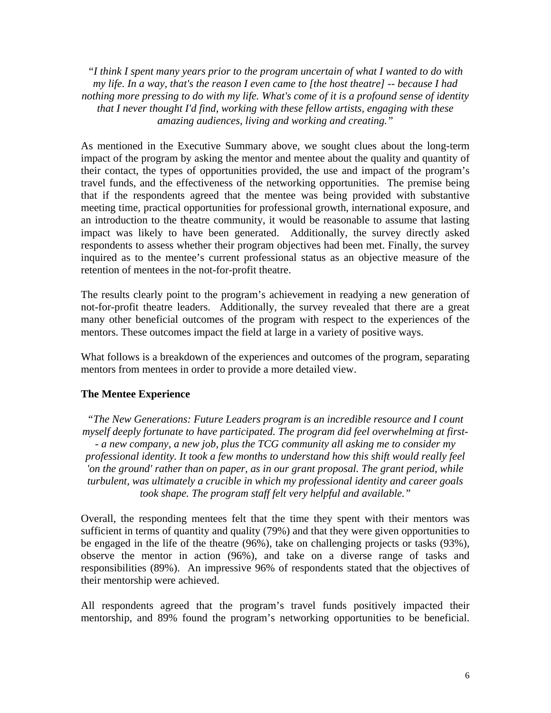*"I think I spent many years prior to the program uncertain of what I wanted to do with my life. In a way, that's the reason I even came to [the host theatre] -- because I had nothing more pressing to do with my life. What's come of it is a profound sense of identity that I never thought I'd find, working with these fellow artists, engaging with these amazing audiences, living and working and creating."* 

As mentioned in the Executive Summary above, we sought clues about the long-term impact of the program by asking the mentor and mentee about the quality and quantity of their contact, the types of opportunities provided, the use and impact of the program's travel funds, and the effectiveness of the networking opportunities. The premise being that if the respondents agreed that the mentee was being provided with substantive meeting time, practical opportunities for professional growth, international exposure, and an introduction to the theatre community, it would be reasonable to assume that lasting impact was likely to have been generated. Additionally, the survey directly asked respondents to assess whether their program objectives had been met. Finally, the survey inquired as to the mentee's current professional status as an objective measure of the retention of mentees in the not-for-profit theatre.

The results clearly point to the program's achievement in readying a new generation of not-for-profit theatre leaders. Additionally, the survey revealed that there are a great many other beneficial outcomes of the program with respect to the experiences of the mentors. These outcomes impact the field at large in a variety of positive ways.

What follows is a breakdown of the experiences and outcomes of the program, separating mentors from mentees in order to provide a more detailed view.

#### **The Mentee Experience**

*"The New Generations: Future Leaders program is an incredible resource and I count myself deeply fortunate to have participated. The program did feel overwhelming at first- - a new company, a new job, plus the TCG community all asking me to consider my professional identity. It took a few months to understand how this shift would really feel 'on the ground' rather than on paper, as in our grant proposal. The grant period, while turbulent, was ultimately a crucible in which my professional identity and career goals took shape. The program staff felt very helpful and available."* 

Overall, the responding mentees felt that the time they spent with their mentors was sufficient in terms of quantity and quality (79%) and that they were given opportunities to be engaged in the life of the theatre (96%), take on challenging projects or tasks (93%), observe the mentor in action (96%), and take on a diverse range of tasks and responsibilities (89%). An impressive 96% of respondents stated that the objectives of their mentorship were achieved.

All respondents agreed that the program's travel funds positively impacted their mentorship, and 89% found the program's networking opportunities to be beneficial.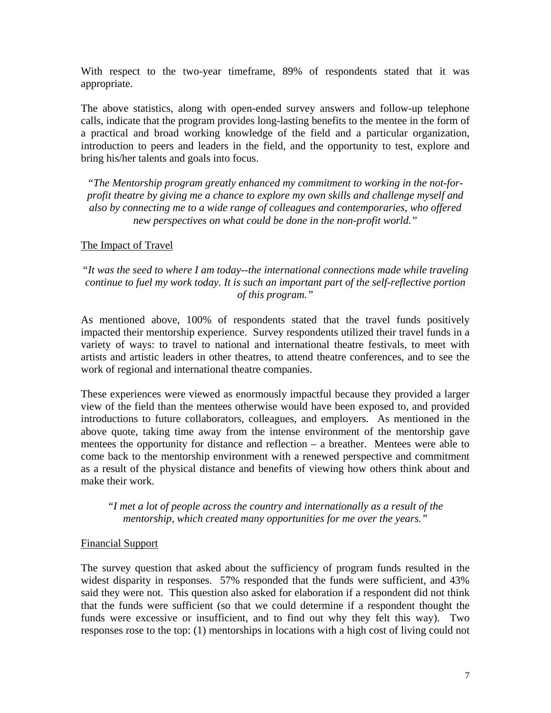With respect to the two-year timeframe, 89% of respondents stated that it was appropriate.

The above statistics, along with open-ended survey answers and follow-up telephone calls, indicate that the program provides long-lasting benefits to the mentee in the form of a practical and broad working knowledge of the field and a particular organization, introduction to peers and leaders in the field, and the opportunity to test, explore and bring his/her talents and goals into focus.

*"The Mentorship program greatly enhanced my commitment to working in the not-forprofit theatre by giving me a chance to explore my own skills and challenge myself and also by connecting me to a wide range of colleagues and contemporaries, who offered new perspectives on what could be done in the non-profit world."* 

## The Impact of Travel

# *"It was the seed to where I am today--the international connections made while traveling continue to fuel my work today. It is such an important part of the self-reflective portion of this program."*

As mentioned above, 100% of respondents stated that the travel funds positively impacted their mentorship experience. Survey respondents utilized their travel funds in a variety of ways: to travel to national and international theatre festivals, to meet with artists and artistic leaders in other theatres, to attend theatre conferences, and to see the work of regional and international theatre companies.

These experiences were viewed as enormously impactful because they provided a larger view of the field than the mentees otherwise would have been exposed to, and provided introductions to future collaborators, colleagues, and employers. As mentioned in the above quote, taking time away from the intense environment of the mentorship gave mentees the opportunity for distance and reflection – a breather. Mentees were able to come back to the mentorship environment with a renewed perspective and commitment as a result of the physical distance and benefits of viewing how others think about and make their work.

*"I met a lot of people across the country and internationally as a result of the mentorship, which created many opportunities for me over the years."* 

### Financial Support

The survey question that asked about the sufficiency of program funds resulted in the widest disparity in responses. 57% responded that the funds were sufficient, and 43% said they were not. This question also asked for elaboration if a respondent did not think that the funds were sufficient (so that we could determine if a respondent thought the funds were excessive or insufficient, and to find out why they felt this way). Two responses rose to the top: (1) mentorships in locations with a high cost of living could not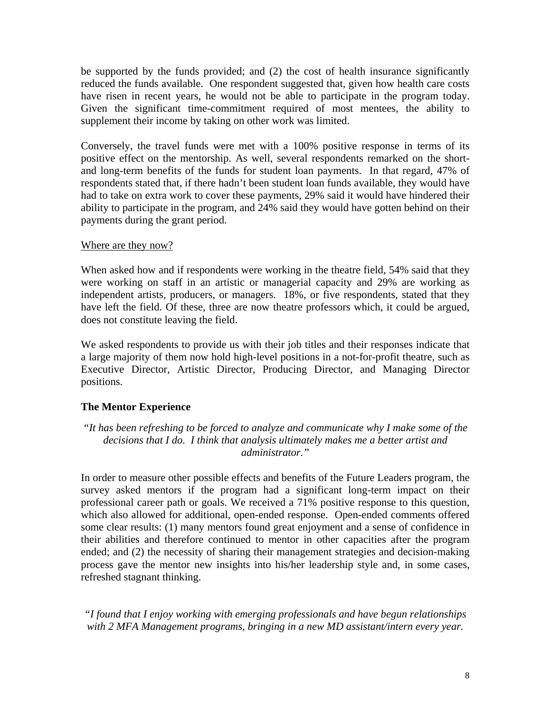be supported by the funds provided; and (2) the cost of health insurance significantly reduced the funds available. One respondent suggested that, given how health care costs have risen in recent years, he would not be able to participate in the program today. Given the significant time-commitment required of most mentees, the ability to supplement their income by taking on other work was limited.

Conversely, the travel funds were met with a 100% positive response in terms of its positive effect on the mentorship. As well, several respondents remarked on the shortand long-term benefits of the funds for student loan payments. In that regard, 47% of respondents stated that, if there hadn't been student loan funds available, they would have had to take on extra work to cover these payments, 29% said it would have hindered their ability to participate in the program, and 24% said they would have gotten behind on their payments during the grant period.

# Where are they now?

When asked how and if respondents were working in the theatre field, 54% said that they were working on staff in an artistic or managerial capacity and 29% are working as independent artists, producers, or managers. 18%, or five respondents, stated that they have left the field. Of these, three are now theatre professors which, it could be argued, does not constitute leaving the field.

We asked respondents to provide us with their job titles and their responses indicate that a large majority of them now hold high-level positions in a not-for-profit theatre, such as Executive Director, Artistic Director, Producing Director, and Managing Director positions.

# **The Mentor Experience**

*"It has been refreshing to be forced to analyze and communicate why I make some of the decisions that I do. I think that analysis ultimately makes me a better artist and administrator."* 

In order to measure other possible effects and benefits of the Future Leaders program, the survey asked mentors if the program had a significant long-term impact on their professional career path or goals. We received a 71% positive response to this question, which also allowed for additional, open-ended response. Open-ended comments offered some clear results: (1) many mentors found great enjoyment and a sense of confidence in their abilities and therefore continued to mentor in other capacities after the program ended; and (2) the necessity of sharing their management strategies and decision-making process gave the mentor new insights into his/her leadership style and, in some cases, refreshed stagnant thinking.

*"I found that I enjoy working with emerging professionals and have begun relationships with 2 MFA Management programs, bringing in a new MD assistant/intern every year.*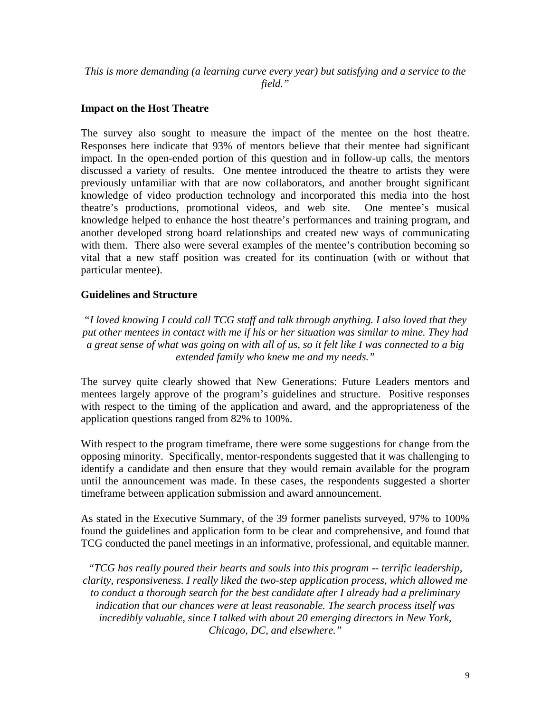*This is more demanding (a learning curve every year) but satisfying and a service to the field."* 

## **Impact on the Host Theatre**

The survey also sought to measure the impact of the mentee on the host theatre. Responses here indicate that 93% of mentors believe that their mentee had significant impact. In the open-ended portion of this question and in follow-up calls, the mentors discussed a variety of results. One mentee introduced the theatre to artists they were previously unfamiliar with that are now collaborators, and another brought significant knowledge of video production technology and incorporated this media into the host theatre's productions, promotional videos, and web site. One mentee's musical knowledge helped to enhance the host theatre's performances and training program, and another developed strong board relationships and created new ways of communicating with them. There also were several examples of the mentee's contribution becoming so vital that a new staff position was created for its continuation (with or without that particular mentee).

## **Guidelines and Structure**

*"I loved knowing I could call TCG staff and talk through anything. I also loved that they put other mentees in contact with me if his or her situation was similar to mine. They had a great sense of what was going on with all of us, so it felt like I was connected to a big extended family who knew me and my needs."* 

The survey quite clearly showed that New Generations: Future Leaders mentors and mentees largely approve of the program's guidelines and structure. Positive responses with respect to the timing of the application and award, and the appropriateness of the application questions ranged from 82% to 100%.

With respect to the program timeframe, there were some suggestions for change from the opposing minority. Specifically, mentor-respondents suggested that it was challenging to identify a candidate and then ensure that they would remain available for the program until the announcement was made. In these cases, the respondents suggested a shorter timeframe between application submission and award announcement.

As stated in the Executive Summary, of the 39 former panelists surveyed, 97% to 100% found the guidelines and application form to be clear and comprehensive, and found that TCG conducted the panel meetings in an informative, professional, and equitable manner.

*"TCG has really poured their hearts and souls into this program -- terrific leadership, clarity, responsiveness. I really liked the two-step application process, which allowed me to conduct a thorough search for the best candidate after I already had a preliminary indication that our chances were at least reasonable. The search process itself was incredibly valuable, since I talked with about 20 emerging directors in New York, Chicago, DC, and elsewhere."*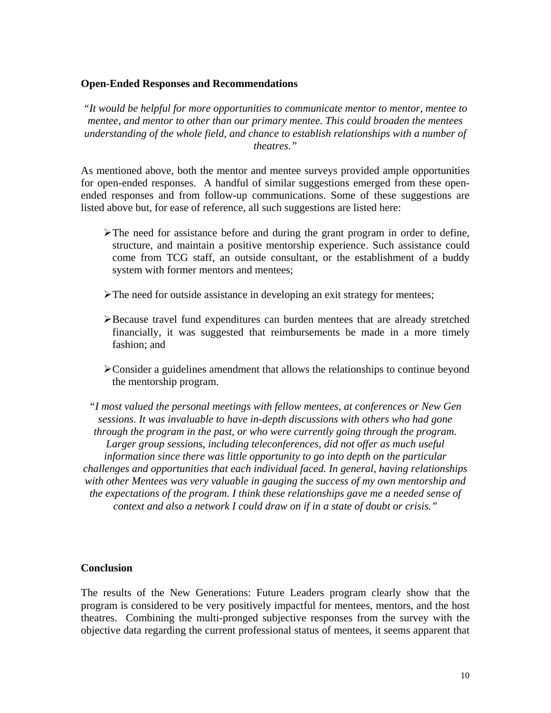#### **Open-Ended Responses and Recommendations**

*"It would be helpful for more opportunities to communicate mentor to mentor, mentee to mentee, and mentor to other than our primary mentee. This could broaden the mentees understanding of the whole field, and chance to establish relationships with a number of theatres."* 

As mentioned above, both the mentor and mentee surveys provided ample opportunities for open-ended responses. A handful of similar suggestions emerged from these openended responses and from follow-up communications. Some of these suggestions are listed above but, for ease of reference, all such suggestions are listed here:

- $\triangleright$ The need for assistance before and during the grant program in order to define, structure, and maintain a positive mentorship experience. Such assistance could come from TCG staff, an outside consultant, or the establishment of a buddy system with former mentors and mentees;
- $\triangleright$  The need for outside assistance in developing an exit strategy for mentees;
- ¾Because travel fund expenditures can burden mentees that are already stretched financially, it was suggested that reimbursements be made in a more timely fashion; and
- ¾Consider a guidelines amendment that allows the relationships to continue beyond the mentorship program.

*"I most valued the personal meetings with fellow mentees, at conferences or New Gen sessions. It was invaluable to have in-depth discussions with others who had gone through the program in the past, or who were currently going through the program. Larger group sessions, including teleconferences, did not offer as much useful information since there was little opportunity to go into depth on the particular challenges and opportunities that each individual faced. In general, having relationships with other Mentees was very valuable in gauging the success of my own mentorship and the expectations of the program. I think these relationships gave me a needed sense of context and also a network I could draw on if in a state of doubt or crisis."* 

#### **Conclusion**

The results of the New Generations: Future Leaders program clearly show that the program is considered to be very positively impactful for mentees, mentors, and the host theatres. Combining the multi-pronged subjective responses from the survey with the objective data regarding the current professional status of mentees, it seems apparent that